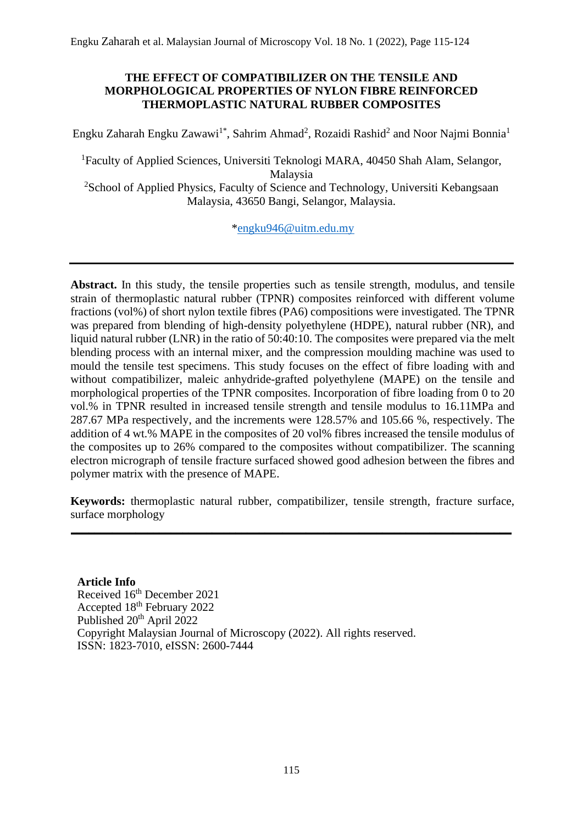## **THE EFFECT OF COMPATIBILIZER ON THE TENSILE AND MORPHOLOGICAL PROPERTIES OF NYLON FIBRE REINFORCED THERMOPLASTIC NATURAL RUBBER COMPOSITES**

Engku Zaharah Engku Zawawi<sup>1\*</sup>, Sahrim Ahmad<sup>2</sup>, Rozaidi Rashid<sup>2</sup> and Noor Najmi Bonnia<sup>1</sup>

<sup>1</sup>Faculty of Applied Sciences, Universiti Teknologi MARA, 40450 Shah Alam, Selangor, Malaysia <sup>2</sup>School of Applied Physics, Faculty of Science and Technology, Universiti Kebangsaan

Malaysia, 43650 Bangi, Selangor, Malaysia.

[\\*engku946@uitm.edu.my](mailto:engku946@uitm.edu.my)

**Abstract.** In this study, the tensile properties such as tensile strength, modulus, and tensile strain of thermoplastic natural rubber (TPNR) composites reinforced with different volume fractions (vol%) of short nylon textile fibres (PA6) compositions were investigated. The TPNR was prepared from blending of high-density polyethylene (HDPE), natural rubber (NR), and liquid natural rubber (LNR) in the ratio of 50:40:10. The composites were prepared via the melt blending process with an internal mixer, and the compression moulding machine was used to mould the tensile test specimens. This study focuses on the effect of fibre loading with and without compatibilizer, maleic anhydride-grafted polyethylene (MAPE) on the tensile and morphological properties of the TPNR composites. Incorporation of fibre loading from 0 to 20 vol.% in TPNR resulted in increased tensile strength and tensile modulus to 16.11MPa and 287.67 MPa respectively, and the increments were 128.57% and 105.66 %, respectively. The addition of 4 wt.% MAPE in the composites of 20 vol% fibres increased the tensile modulus of the composites up to 26% compared to the composites without compatibilizer. The scanning electron micrograph of tensile fracture surfaced showed good adhesion between the fibres and polymer matrix with the presence of MAPE.

**Keywords:** thermoplastic natural rubber, compatibilizer, tensile strength, fracture surface, surface morphology

**\_\_\_\_\_\_\_\_\_\_\_\_\_\_\_\_\_\_\_\_\_\_\_\_\_\_\_\_\_\_\_\_\_\_\_\_\_\_\_\_\_\_\_\_\_\_\_\_\_\_\_\_\_\_\_\_\_\_\_\_\_\_\_\_\_\_\_\_\_\_\_\_\_\_\_**

**Article Info** Received 16<sup>th</sup> December 2021 Accepted 18<sup>th</sup> February 2022 Published 20<sup>th</sup> April 2022 Copyright Malaysian Journal of Microscopy (2022). All rights reserved. ISSN: 1823-7010, eISSN: 2600-7444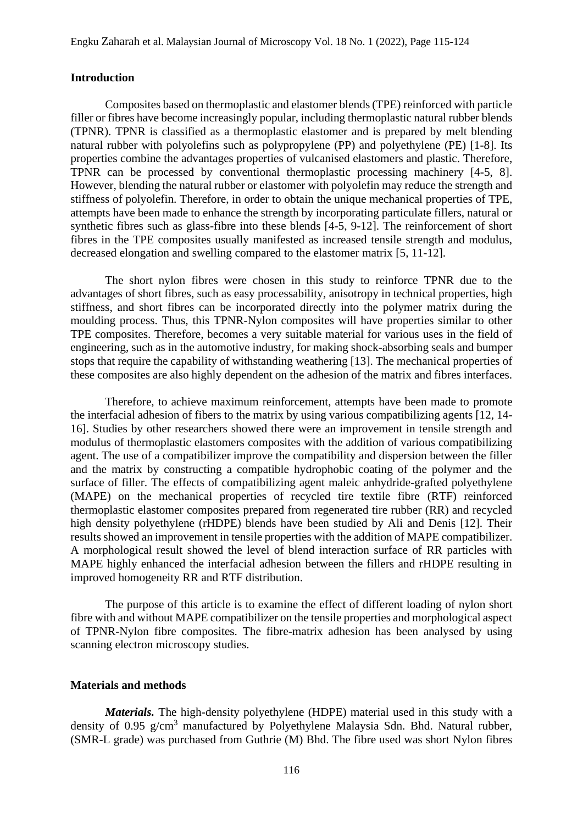#### **Introduction**

Composites based on thermoplastic and elastomer blends (TPE) reinforced with particle filler or fibres have become increasingly popular, including thermoplastic natural rubber blends (TPNR). TPNR is classified as a thermoplastic elastomer and is prepared by melt blending natural rubber with polyolefins such as polypropylene (PP) and polyethylene (PE) [1-8]. Its properties combine the advantages properties of vulcanised elastomers and plastic. Therefore, TPNR can be processed by conventional thermoplastic processing machinery [4-5, 8]. However, blending the natural rubber or elastomer with polyolefin may reduce the strength and stiffness of polyolefin. Therefore, in order to obtain the unique mechanical properties of TPE, attempts have been made to enhance the strength by incorporating particulate fillers, natural or synthetic fibres such as glass-fibre into these blends [4-5, 9-12]. The reinforcement of short fibres in the TPE composites usually manifested as increased tensile strength and modulus, decreased elongation and swelling compared to the elastomer matrix [5, 11-12].

The short nylon fibres were chosen in this study to reinforce TPNR due to the advantages of short fibres, such as easy processability, anisotropy in technical properties, high stiffness, and short fibres can be incorporated directly into the polymer matrix during the moulding process. Thus, this TPNR-Nylon composites will have properties similar to other TPE composites. Therefore, becomes a very suitable material for various uses in the field of engineering, such as in the automotive industry, for making shock-absorbing seals and bumper stops that require the capability of withstanding weathering [13]. The mechanical properties of these composites are also highly dependent on the adhesion of the matrix and fibres interfaces.

Therefore, to achieve maximum reinforcement, attempts have been made to promote the interfacial adhesion of fibers to the matrix by using various compatibilizing agents [12, 14- 16]. Studies by other researchers showed there were an improvement in tensile strength and modulus of thermoplastic elastomers composites with the addition of various compatibilizing agent. The use of a compatibilizer improve the compatibility and dispersion between the filler and the matrix by constructing a compatible hydrophobic coating of the polymer and the surface of filler. The effects of compatibilizing agent maleic anhydride-grafted polyethylene (MAPE) on the mechanical properties of recycled tire textile fibre (RTF) reinforced thermoplastic elastomer composites prepared from regenerated tire rubber (RR) and recycled high density polyethylene (rHDPE) blends have been studied by Ali and Denis [12]. Their results showed an improvement in tensile properties with the addition of MAPE compatibilizer. A morphological result showed the level of blend interaction surface of RR particles with MAPE highly enhanced the interfacial adhesion between the fillers and rHDPE resulting in improved homogeneity RR and RTF distribution.

The purpose of this article is to examine the effect of different loading of nylon short fibre with and without MAPE compatibilizer on the tensile properties and morphological aspect of TPNR-Nylon fibre composites. The fibre-matrix adhesion has been analysed by using scanning electron microscopy studies.

### **Materials and methods**

*Materials.* The high-density polyethylene (HDPE) material used in this study with a density of 0.95 g/cm<sup>3</sup> manufactured by Polyethylene Malaysia Sdn. Bhd. Natural rubber, (SMR-L grade) was purchased from Guthrie (M) Bhd. The fibre used was short Nylon fibres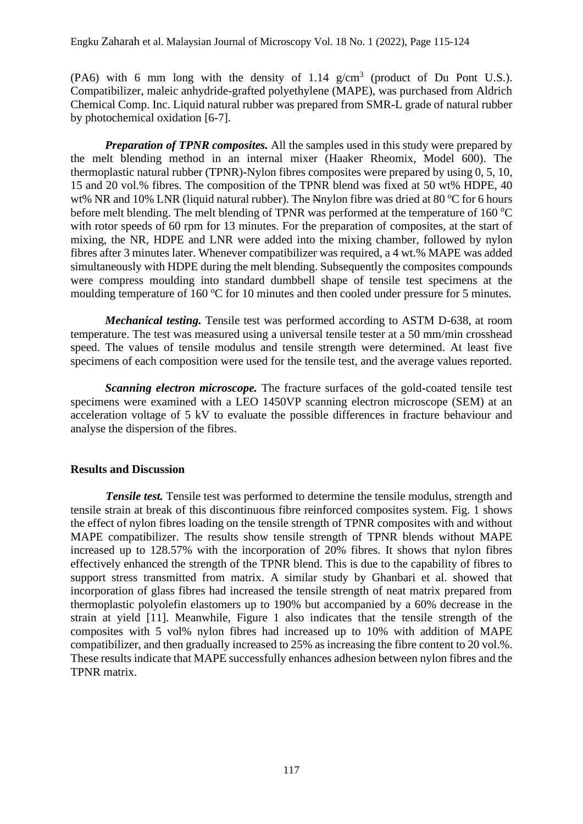(PA6) with 6 mm long with the density of 1.14  $g/cm<sup>3</sup>$  (product of Du Pont U.S.). Compatibilizer, maleic anhydride-grafted polyethylene (MAPE), was purchased from Aldrich Chemical Comp. Inc. Liquid natural rubber was prepared from SMR-L grade of natural rubber by photochemical oxidation [6-7].

*Preparation of TPNR composites.* All the samples used in this study were prepared by the melt blending method in an internal mixer (Haaker Rheomix, Model 600). The thermoplastic natural rubber (TPNR)-Nylon fibres composites were prepared by using 0, 5, 10, 15 and 20 vol.% fibres. The composition of the TPNR blend was fixed at 50 wt% HDPE, 40 wt% NR and 10% LNR (liquid natural rubber). The Nnylon fibre was dried at 80  $\degree$ C for 6 hours before melt blending. The melt blending of TPNR was performed at the temperature of  $160^{\circ}$ C with rotor speeds of 60 rpm for 13 minutes. For the preparation of composites, at the start of mixing, the NR, HDPE and LNR were added into the mixing chamber, followed by nylon fibres after 3 minutes later. Whenever compatibilizer was required, a 4 wt.% MAPE was added simultaneously with HDPE during the melt blending. Subsequently the composites compounds were compress moulding into standard dumbbell shape of tensile test specimens at the moulding temperature of 160  $\degree$ C for 10 minutes and then cooled under pressure for 5 minutes.

*Mechanical testing.* Tensile test was performed according to ASTM D-638, at room temperature. The test was measured using a universal tensile tester at a 50 mm/min crosshead speed. The values of tensile modulus and tensile strength were determined. At least five specimens of each composition were used for the tensile test, and the average values reported.

*Scanning electron microscope.* The fracture surfaces of the gold-coated tensile test specimens were examined with a LEO 1450VP scanning electron microscope (SEM) at an acceleration voltage of 5 kV to evaluate the possible differences in fracture behaviour and analyse the dispersion of the fibres.

## **Results and Discussion**

*Tensile test.* Tensile test was performed to determine the tensile modulus, strength and tensile strain at break of this discontinuous fibre reinforced composites system. Fig. 1 shows the effect of nylon fibres loading on the tensile strength of TPNR composites with and without MAPE compatibilizer. The results show tensile strength of TPNR blends without MAPE increased up to 128.57% with the incorporation of 20% fibres. It shows that nylon fibres effectively enhanced the strength of the TPNR blend. This is due to the capability of fibres to support stress transmitted from matrix. A similar study by Ghanbari et al. showed that incorporation of glass fibres had increased the tensile strength of neat matrix prepared from thermoplastic polyolefin elastomers up to 190% but accompanied by a 60% decrease in the strain at yield [11]. Meanwhile, Figure 1 also indicates that the tensile strength of the composites with 5 vol% nylon fibres had increased up to 10% with addition of MAPE compatibilizer, and then gradually increased to 25% as increasing the fibre content to 20 vol.%. These results indicate that MAPE successfully enhances adhesion between nylon fibres and the TPNR matrix.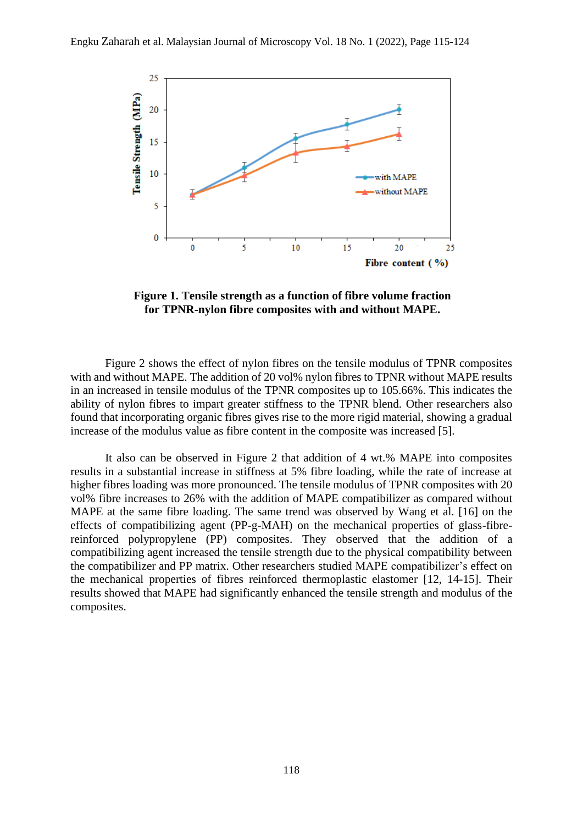

**Figure 1. Tensile strength as a function of fibre volume fraction for TPNR-nylon fibre composites with and without MAPE.**

Figure 2 shows the effect of nylon fibres on the tensile modulus of TPNR composites with and without MAPE. The addition of 20 vol% nylon fibres to TPNR without MAPE results in an increased in tensile modulus of the TPNR composites up to 105.66%. This indicates the ability of nylon fibres to impart greater stiffness to the TPNR blend. Other researchers also found that incorporating organic fibres gives rise to the more rigid material, showing a gradual increase of the modulus value as fibre content in the composite was increased [5].

It also can be observed in Figure 2 that addition of 4 wt.% MAPE into composites results in a substantial increase in stiffness at 5% fibre loading, while the rate of increase at higher fibres loading was more pronounced. The tensile modulus of TPNR composites with 20 vol% fibre increases to 26% with the addition of MAPE compatibilizer as compared without MAPE at the same fibre loading. The same trend was observed by Wang et al. [16] on the effects of compatibilizing agent (PP-g-MAH) on the mechanical properties of glass-fibrereinforced polypropylene (PP) composites. They observed that the addition of a compatibilizing agent increased the tensile strength due to the physical compatibility between the compatibilizer and PP matrix. Other researchers studied MAPE compatibilizer's effect on the mechanical properties of fibres reinforced thermoplastic elastomer [12, 14-15]. Their results showed that MAPE had significantly enhanced the tensile strength and modulus of the composites.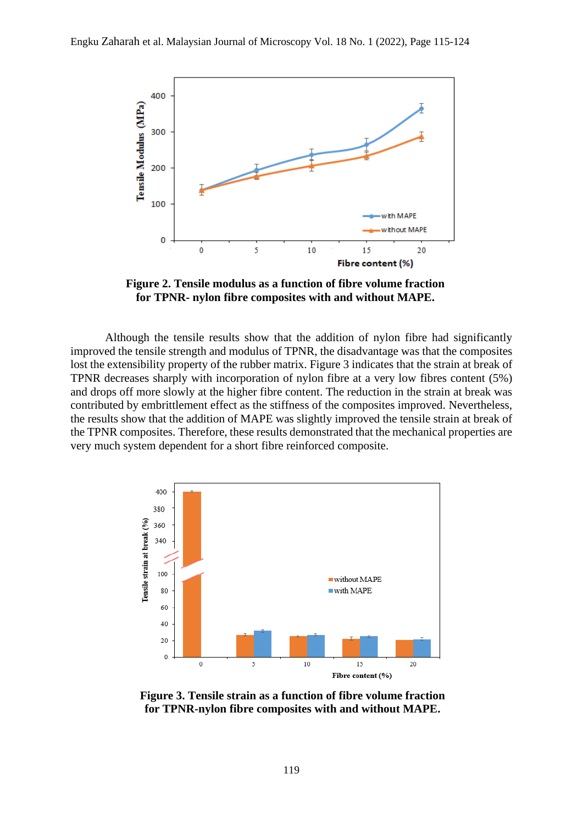

**Figure 2. Tensile modulus as a function of fibre volume fraction for TPNR- nylon fibre composites with and without MAPE.**

Although the tensile results show that the addition of nylon fibre had significantly improved the tensile strength and modulus of TPNR, the disadvantage was that the composites lost the extensibility property of the rubber matrix. Figure 3 indicates that the strain at break of TPNR decreases sharply with incorporation of nylon fibre at a very low fibres content (5%) and drops off more slowly at the higher fibre content. The reduction in the strain at break was contributed by embrittlement effect as the stiffness of the composites improved. Nevertheless, the results show that the addition of MAPE was slightly improved the tensile strain at break of the TPNR composites. Therefore, these results demonstrated that the mechanical properties are very much system dependent for a short fibre reinforced composite.



**Figure 3. Tensile strain as a function of fibre volume fraction for TPNR-nylon fibre composites with and without MAPE.**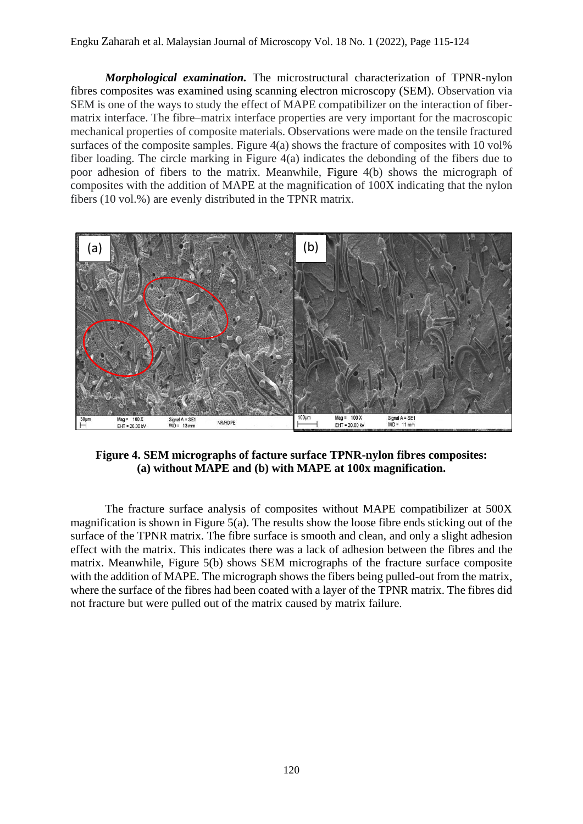## Engku Zaharah et al. Malaysian Journal of Microscopy Vol. 18 No. 1 (2022), Page 115-124

*Morphological examination.* The microstructural characterization of TPNR-nylon fibres composites was examined using scanning electron microscopy (SEM). Observation via SEM is one of the ways to study the effect of MAPE compatibilizer on the interaction of fibermatrix interface. The fibre–matrix interface properties are very important for the macroscopic mechanical properties of composite materials. Observations were made on the tensile fractured surfaces of the composite samples. Figure  $4(a)$  shows the fracture of composites with 10 vol<sup>%</sup> fiber loading. The circle marking in Figure 4(a) indicates the debonding of the fibers due to poor adhesion of fibers to the matrix. Meanwhile, Figure 4(b) shows the micrograph of composites with the addition of MAPE at the magnification of 100X indicating that the nylon fibers (10 vol.%) are evenly distributed in the TPNR matrix.



**Figure 4. SEM micrographs of facture surface TPNR-nylon fibres composites: (a) without MAPE and (b) with MAPE at 100x magnification.**

The fracture surface analysis of composites without MAPE compatibilizer at 500X magnification is shown in Figure  $5(a)$ . The results show the loose fibre ends sticking out of the surface of the TPNR matrix. The fibre surface is smooth and clean, and only a slight adhesion effect with the matrix. This indicates there was a lack of adhesion between the fibres and the matrix. Meanwhile, Figure 5(b) shows SEM micrographs of the fracture surface composite with the addition of MAPE. The micrograph shows the fibers being pulled-out from the matrix, where the surface of the fibres had been coated with a layer of the TPNR matrix. The fibres did not fracture but were pulled out of the matrix caused by matrix failure.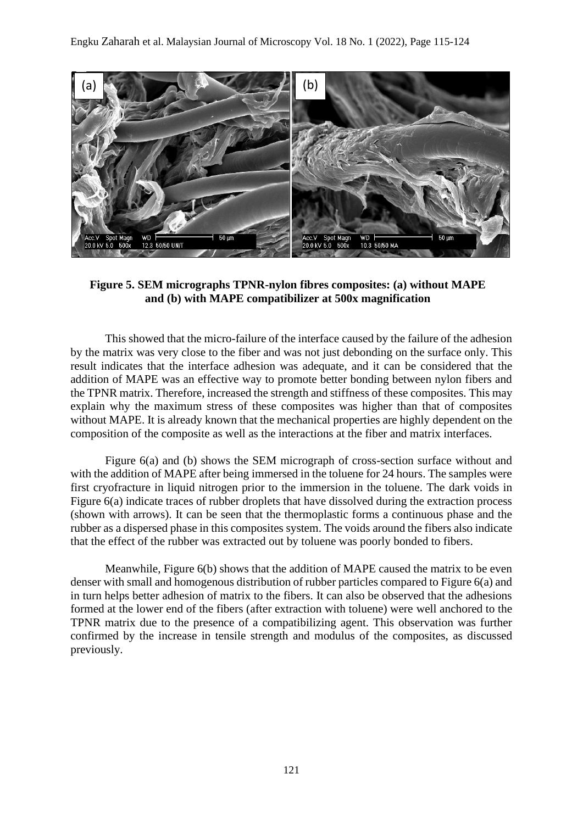

**Figure 5. SEM micrographs TPNR-nylon fibres composites: (a) without MAPE and (b) with MAPE compatibilizer at 500x magnification**

This showed that the micro-failure of the interface caused by the failure of the adhesion by the matrix was very close to the fiber and was not just debonding on the surface only. This result indicates that the interface adhesion was adequate, and it can be considered that the addition of MAPE was an effective way to promote better bonding between nylon fibers and the TPNR matrix. Therefore, increased the strength and stiffness of these composites. This may explain why the maximum stress of these composites was higher than that of composites without MAPE. It is already known that the mechanical properties are highly dependent on the composition of the composite as well as the interactions at the fiber and matrix interfaces.

Figure 6(a) and (b) shows the SEM micrograph of cross-section surface without and with the addition of MAPE after being immersed in the toluene for 24 hours. The samples were first cryofracture in liquid nitrogen prior to the immersion in the toluene. The dark voids in Figure 6(a) indicate traces of rubber droplets that have dissolved during the extraction process (shown with arrows). It can be seen that the thermoplastic forms a continuous phase and the rubber as a dispersed phase in this composites system. The voids around the fibers also indicate that the effect of the rubber was extracted out by toluene was poorly bonded to fibers.

Meanwhile, Figure 6(b) shows that the addition of MAPE caused the matrix to be even denser with small and homogenous distribution of rubber particles compared to Figure 6(a) and in turn helps better adhesion of matrix to the fibers. It can also be observed that the adhesions formed at the lower end of the fibers (after extraction with toluene) were well anchored to the TPNR matrix due to the presence of a compatibilizing agent. This observation was further confirmed by the increase in tensile strength and modulus of the composites, as discussed previously.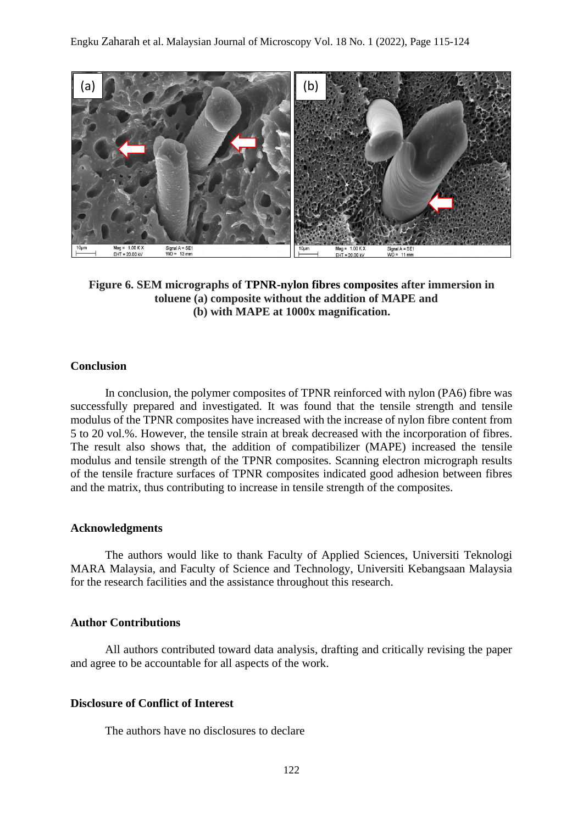

**Figure 6. SEM micrographs of TPNR-nylon fibres composites after immersion in toluene (a) composite without the addition of MAPE and (b) with MAPE at 1000x magnification.**

#### **Conclusion**

In conclusion, the polymer composites of TPNR reinforced with nylon (PA6) fibre was successfully prepared and investigated. It was found that the tensile strength and tensile modulus of the TPNR composites have increased with the increase of nylon fibre content from 5 to 20 vol.%. However, the tensile strain at break decreased with the incorporation of fibres. The result also shows that, the addition of compatibilizer (MAPE) increased the tensile modulus and tensile strength of the TPNR composites. Scanning electron micrograph results of the tensile fracture surfaces of TPNR composites indicated good adhesion between fibres and the matrix, thus contributing to increase in tensile strength of the composites.

#### **Acknowledgments**

The authors would like to thank Faculty of Applied Sciences, Universiti Teknologi MARA Malaysia, and Faculty of Science and Technology, Universiti Kebangsaan Malaysia for the research facilities and the assistance throughout this research.

### **Author Contributions**

All authors contributed toward data analysis, drafting and critically revising the paper and agree to be accountable for all aspects of the work.

## **Disclosure of Conflict of Interest**

The authors have no disclosures to declare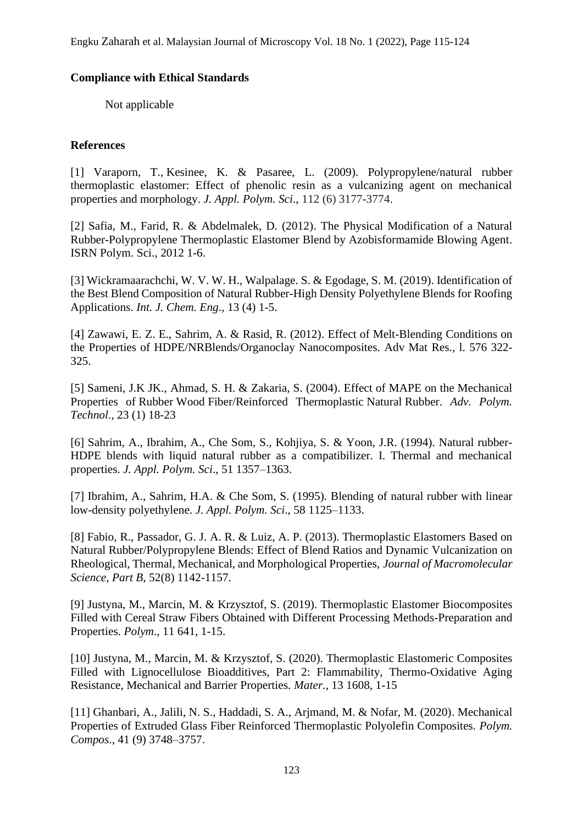## **Compliance with Ethical Standards**

Not applicable

# **References**

[1] [Varaporn,](https://onlinelibrary-wiley-com.ezaccess.library.uitm.edu.my/action/doSearch?ContribAuthorRaw=Tanrattanakul%2C+Varaporn) T., [Kesinee,](https://onlinelibrary-wiley-com.ezaccess.library.uitm.edu.my/action/doSearch?ContribAuthorRaw=Kosonmetee%2C+Kesinee) K. & [Pasaree,](https://onlinelibrary-wiley-com.ezaccess.library.uitm.edu.my/action/doSearch?ContribAuthorRaw=Laokijcharoen%2C+Pasaree) L. (2009). Polypropylene/natural rubber thermoplastic elastomer: Effect of phenolic resin as a vulcanizing agent on mechanical properties and morphology. *J. Appl. Polym. Sci*., 112 (6) 3177-3774.

[2] Safia, M., Farid, R. & Abdelmalek, D. (2012). The Physical Modification of a Natural Rubber-Polypropylene Thermoplastic Elastomer Blend by Azobisformamide Blowing Agent. ISRN Polym. Sci.*,* 2012 1-6.

[3] Wickramaarachchi, W. V. W. H., Walpalage. S. & Egodage, S. M. (2019). Identification of the Best Blend Composition of Natural Rubber-High Density Polyethylene Blends for Roofing Applications. *Int. J. Chem. Eng*.*,* 13 (4) 1-5.

[4] Zawawi, E. Z. E., Sahrim, A. & Rasid, R. (2012). Effect of Melt-Blending Conditions on the Properties of HDPE/NRBlends/Organoclay Nanocomposites. Adv Mat Res.*,* l. 576 322- 325.

[5] Sameni, J.K JK., Ahmad, S. H. & Zakaria, S. (2004). Effect of MAPE on the Mechanical Properties of Rubber Wood Fiber/Reinforced Thermoplastic Natural Rubber. *Adv. Polym. Technol*.*,* 23 (1) 18-23

[6] Sahrim, A., Ibrahim, A., Che Som, S., Kohjiya, S. & Yoon, J.R. (1994). Natural rubber-HDPE blends with liquid natural rubber as a compatibilizer. I. Thermal and mechanical properties. *J. Appl. Polym. Sci*., 51 1357–1363.

[7] Ibrahim, A., Sahrim, H.A. & Che Som, S. (1995). Blending of natural rubber with linear low-density polyethylene. *J. Appl. Polym. Sci*., 58 1125–1133.

[8] Fabio, R., Passador, G. J. A. R. & Luiz, A. P. (2013). Thermoplastic Elastomers Based on Natural Rubber/Polypropylene Blends: Effect of Blend Ratios and Dynamic Vulcanization on Rheological, Thermal, Mechanical, and Morphological Properties, *Journal of Macromolecular Science, Part B*, 52(8) 1142-1157.

[9] Justyna, M., Marcin, M. & Krzysztof, S. (2019). Thermoplastic Elastomer Biocomposites Filled with Cereal Straw Fibers Obtained with Different Processing Methods-Preparation and Properties. *Polym*., 11 641, 1-15.

[10] Justyna, M., Marcin, M. & Krzysztof, S. (2020). Thermoplastic Elastomeric Composites Filled with Lignocellulose Bioadditives, Part 2: Flammability, Thermo-Oxidative Aging Resistance, Mechanical and Barrier Properties. *Mater.,* 13 1608, 1-15

[11] Ghanbari, A., Jalili, N. S., Haddadi, S. A., Arjmand, M. & Nofar, M. (2020). Mechanical Properties of Extruded Glass Fiber Reinforced Thermoplastic Polyolefin Composites. *Polym. Compos*.*,* 41 (9) 3748–3757.